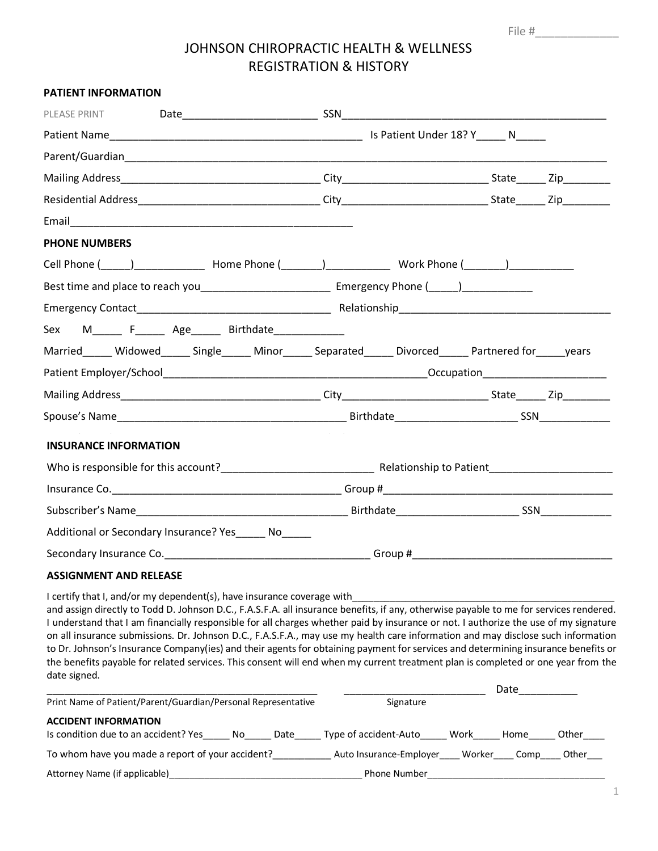File #\_\_\_\_\_\_\_\_\_\_\_\_\_

# JOHNSON CHIROPRACTIC HEALTH & WELLNESS REGISTRATION & HISTORY

| <b>PATIENT INFORMATION</b>                                                                                                                                                                                                                                                                                                                                                                                                                                                                                                                                                                                                                                                                                                                                                             |  |           |  |  |
|----------------------------------------------------------------------------------------------------------------------------------------------------------------------------------------------------------------------------------------------------------------------------------------------------------------------------------------------------------------------------------------------------------------------------------------------------------------------------------------------------------------------------------------------------------------------------------------------------------------------------------------------------------------------------------------------------------------------------------------------------------------------------------------|--|-----------|--|--|
| PLEASE PRINT                                                                                                                                                                                                                                                                                                                                                                                                                                                                                                                                                                                                                                                                                                                                                                           |  |           |  |  |
|                                                                                                                                                                                                                                                                                                                                                                                                                                                                                                                                                                                                                                                                                                                                                                                        |  |           |  |  |
|                                                                                                                                                                                                                                                                                                                                                                                                                                                                                                                                                                                                                                                                                                                                                                                        |  |           |  |  |
|                                                                                                                                                                                                                                                                                                                                                                                                                                                                                                                                                                                                                                                                                                                                                                                        |  |           |  |  |
|                                                                                                                                                                                                                                                                                                                                                                                                                                                                                                                                                                                                                                                                                                                                                                                        |  |           |  |  |
|                                                                                                                                                                                                                                                                                                                                                                                                                                                                                                                                                                                                                                                                                                                                                                                        |  |           |  |  |
| <b>PHONE NUMBERS</b>                                                                                                                                                                                                                                                                                                                                                                                                                                                                                                                                                                                                                                                                                                                                                                   |  |           |  |  |
|                                                                                                                                                                                                                                                                                                                                                                                                                                                                                                                                                                                                                                                                                                                                                                                        |  |           |  |  |
|                                                                                                                                                                                                                                                                                                                                                                                                                                                                                                                                                                                                                                                                                                                                                                                        |  |           |  |  |
|                                                                                                                                                                                                                                                                                                                                                                                                                                                                                                                                                                                                                                                                                                                                                                                        |  |           |  |  |
| Sex M______ F______ Age______ Birthdate_____________                                                                                                                                                                                                                                                                                                                                                                                                                                                                                                                                                                                                                                                                                                                                   |  |           |  |  |
| Married_____ Widowed_____ Single_____ Minor_____ Separated_____ Divorced_____ Partnered for_____ years                                                                                                                                                                                                                                                                                                                                                                                                                                                                                                                                                                                                                                                                                 |  |           |  |  |
|                                                                                                                                                                                                                                                                                                                                                                                                                                                                                                                                                                                                                                                                                                                                                                                        |  |           |  |  |
|                                                                                                                                                                                                                                                                                                                                                                                                                                                                                                                                                                                                                                                                                                                                                                                        |  |           |  |  |
|                                                                                                                                                                                                                                                                                                                                                                                                                                                                                                                                                                                                                                                                                                                                                                                        |  |           |  |  |
| <b>INSURANCE INFORMATION</b>                                                                                                                                                                                                                                                                                                                                                                                                                                                                                                                                                                                                                                                                                                                                                           |  |           |  |  |
|                                                                                                                                                                                                                                                                                                                                                                                                                                                                                                                                                                                                                                                                                                                                                                                        |  |           |  |  |
|                                                                                                                                                                                                                                                                                                                                                                                                                                                                                                                                                                                                                                                                                                                                                                                        |  |           |  |  |
|                                                                                                                                                                                                                                                                                                                                                                                                                                                                                                                                                                                                                                                                                                                                                                                        |  |           |  |  |
| Additional or Secondary Insurance? Yes No                                                                                                                                                                                                                                                                                                                                                                                                                                                                                                                                                                                                                                                                                                                                              |  |           |  |  |
|                                                                                                                                                                                                                                                                                                                                                                                                                                                                                                                                                                                                                                                                                                                                                                                        |  |           |  |  |
|                                                                                                                                                                                                                                                                                                                                                                                                                                                                                                                                                                                                                                                                                                                                                                                        |  |           |  |  |
| <b>ASSIGNMENT AND RELEASE</b>                                                                                                                                                                                                                                                                                                                                                                                                                                                                                                                                                                                                                                                                                                                                                          |  |           |  |  |
| I certify that I, and/or my dependent(s), have insurance coverage with<br>and assign directly to Todd D. Johnson D.C., F.A.S.F.A. all insurance benefits, if any, otherwise payable to me for services rendered.<br>I understand that I am financially responsible for all charges whether paid by insurance or not. I authorize the use of my signature<br>on all insurance submissions. Dr. Johnson D.C., F.A.S.F.A., may use my health care information and may disclose such information<br>to Dr. Johnson's Insurance Company(ies) and their agents for obtaining payment for services and determining insurance benefits or<br>the benefits payable for related services. This consent will end when my current treatment plan is completed or one year from the<br>date signed. |  |           |  |  |
| Print Name of Patient/Parent/Guardian/Personal Representative                                                                                                                                                                                                                                                                                                                                                                                                                                                                                                                                                                                                                                                                                                                          |  | Signature |  |  |
| <b>ACCIDENT INFORMATION</b>                                                                                                                                                                                                                                                                                                                                                                                                                                                                                                                                                                                                                                                                                                                                                            |  |           |  |  |
| Is condition due to an accident? Yes______ No______ Date______ Type of accident-Auto______ Work______ Home______ Other_____                                                                                                                                                                                                                                                                                                                                                                                                                                                                                                                                                                                                                                                            |  |           |  |  |
| To whom have you made a report of your accident?______________ Auto Insurance-Employer_____ Worker____ Comp____ Other___                                                                                                                                                                                                                                                                                                                                                                                                                                                                                                                                                                                                                                                               |  |           |  |  |
|                                                                                                                                                                                                                                                                                                                                                                                                                                                                                                                                                                                                                                                                                                                                                                                        |  |           |  |  |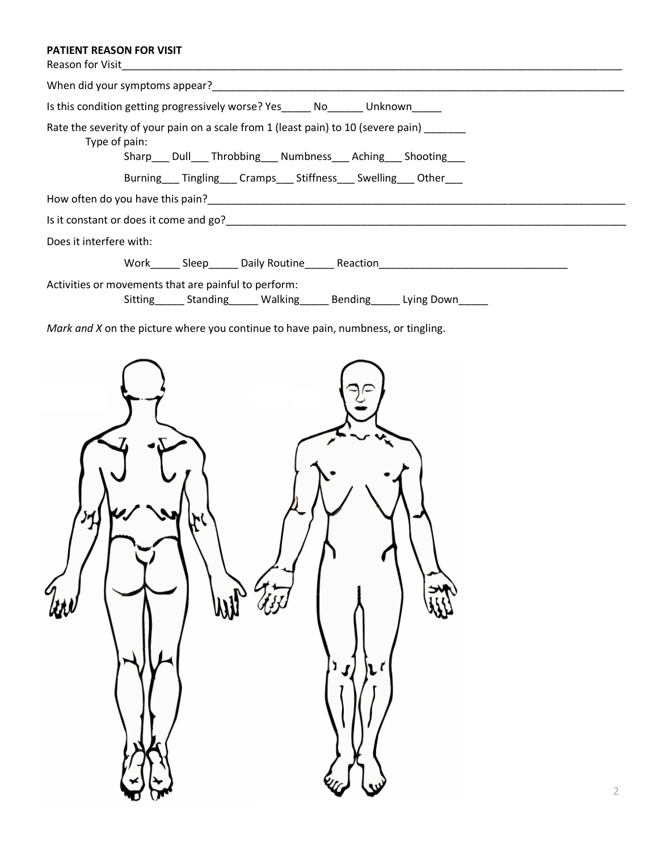## **PATIENT REASON FOR VISIT**

 $\left\langle \right\rangle$ 

| <b>FATIENT NEASUN FUN VISH</b><br>Reason for Visit                                                                                                                         |
|----------------------------------------------------------------------------------------------------------------------------------------------------------------------------|
|                                                                                                                                                                            |
| Is this condition getting progressively worse? Yes______ No_______ Unknown_____                                                                                            |
| Rate the severity of your pain on a scale from 1 (least pain) to 10 (severe pain)<br>Type of pain:<br>Sharp___ Dull____ Throbbing____ Numbness____ Aching____ Shooting____ |
| Burning___Tingling___Cramps___Stiffness___Swelling___Other___                                                                                                              |
|                                                                                                                                                                            |
|                                                                                                                                                                            |
| Does it interfere with:                                                                                                                                                    |
|                                                                                                                                                                            |
| Activities or movements that are painful to perform:<br>Sitting_______ Standing_______ Walking_______ Bending______ Lying Down______                                       |
| Mark and X on the picture where you continue to have pain, numbness, or tingling.                                                                                          |
|                                                                                                                                                                            |

 $\prime$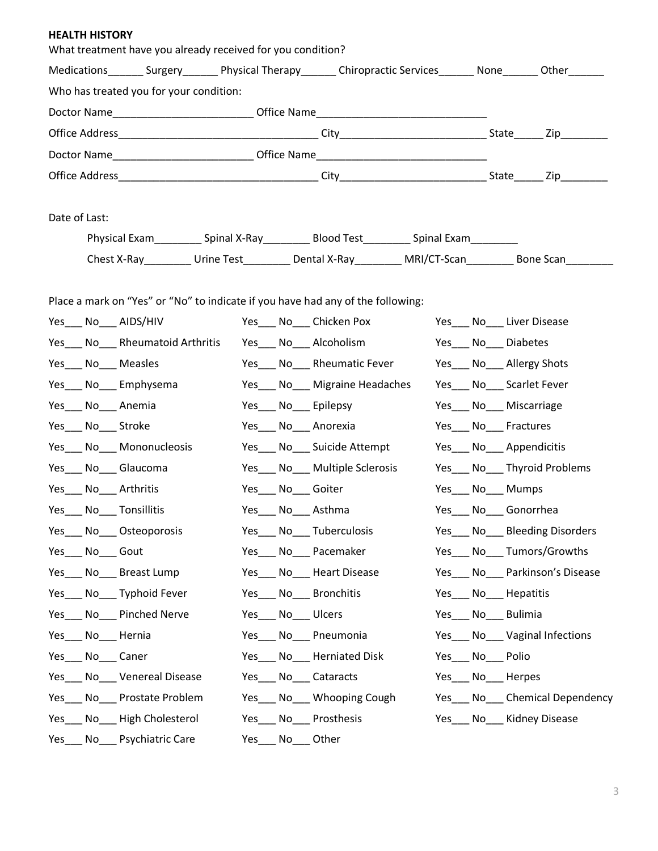#### **HEALTH HISTORY**

| What treatment have you already received for you condition?                                                               |     |                                                                          |  |                               |  |
|---------------------------------------------------------------------------------------------------------------------------|-----|--------------------------------------------------------------------------|--|-------------------------------|--|
| Medications ________ Surgery _________ Physical Therapy _______ Chiropractic Services _______ None ________ Other _______ |     |                                                                          |  |                               |  |
| Who has treated you for your condition:                                                                                   |     |                                                                          |  |                               |  |
| Doctor Name_________________________________Office Name__________________________                                         |     |                                                                          |  |                               |  |
|                                                                                                                           |     |                                                                          |  |                               |  |
| Doctor Name___________________________________Office Name________________________                                         |     |                                                                          |  |                               |  |
|                                                                                                                           |     |                                                                          |  |                               |  |
|                                                                                                                           |     |                                                                          |  |                               |  |
| Date of Last:                                                                                                             |     |                                                                          |  |                               |  |
|                                                                                                                           |     | Chest X-Ray <b>Charles Urine Test</b> Dental X-Ray MRI/CT-Scan Bone Scan |  |                               |  |
|                                                                                                                           |     |                                                                          |  |                               |  |
| Place a mark on "Yes" or "No" to indicate if you have had any of the following:                                           |     |                                                                          |  |                               |  |
| Yes____ No____ AIDS/HIV                                                                                                   |     | Yes_____ No_____ Chicken Pox                                             |  | Yes ____ No____ Liver Disease |  |
| Yes No Rheumatoid Arthritis                                                                                               |     | Yes____ No____ Alcoholism                                                |  | Yes No Diabetes               |  |
| Yes No Measles                                                                                                            |     | Yes No Rheumatic Fever                                                   |  | Yes No Allergy Shots          |  |
| Yes____ No____ Emphysema                                                                                                  |     | Yes___ No___ Migraine Headaches                                          |  | Yes___ No___ Scarlet Fever    |  |
| Yes____ No____ Anemia                                                                                                     |     | Yes___ No___ Epilepsy                                                    |  | Yes___ No___ Miscarriage      |  |
| Yes____ No____ Stroke                                                                                                     |     | Yes___ No___ Anorexia                                                    |  | Yes___ No___ Fractures        |  |
| Yes___ No___ Mononucleosis                                                                                                |     | Yes____ No____ Suicide Attempt                                           |  | Yes____ No____ Appendicitis   |  |
| Yes___ No___ Glaucoma                                                                                                     |     | Yes___ No___ Multiple Sclerosis                                          |  | Yes___ No___ Thyroid Problems |  |
| Yes____ No____ Arthritis                                                                                                  |     | Yes___ No___ Goiter                                                      |  | Yes____ No____ Mumps          |  |
| Yes____ No____ Tonsillitis                                                                                                |     | Yes____ No____ Asthma                                                    |  | Yes___ No___ Gonorrhea        |  |
| No <sub>___</sub> Osteoporosis<br>Yes                                                                                     | Yes | No<br>Tuberculosis                                                       |  | Yes No Bleeding Disorders     |  |
| Yes No Gout                                                                                                               |     | Yes No Pacemaker                                                         |  | Yes No Tumors/Growths         |  |
| No Breast Lump<br>Yes                                                                                                     |     | Yes No Heart Disease                                                     |  | Yes No Parkinson's Disease    |  |
| Yes No Typhoid Fever                                                                                                      |     | Yes No Bronchitis                                                        |  | Yes No Hepatitis              |  |
| No Pinched Nerve<br>Yes                                                                                                   |     | Yes No Ulcers                                                            |  | Yes No Bulimia                |  |
| No Hernia<br>Yes                                                                                                          |     | Yes No Pneumonia                                                         |  | Yes No Vaginal Infections     |  |
| No Caner<br>Yes                                                                                                           |     | Yes No Herniated Disk                                                    |  | Yes No Polio                  |  |
| Yes____ No____ Venereal Disease                                                                                           |     | Yes No Cataracts                                                         |  | Yes____ No____ Herpes         |  |
| No Prostate Problem<br>Yes                                                                                                |     | Yes No Whooping Cough                                                    |  | Yes No Chemical Dependency    |  |
| Yes No High Cholesterol                                                                                                   |     | Yes No Prosthesis                                                        |  | Yes No Kidney Disease         |  |
| No___ Psychiatric Care<br>Yes                                                                                             |     | Yes No Other                                                             |  |                               |  |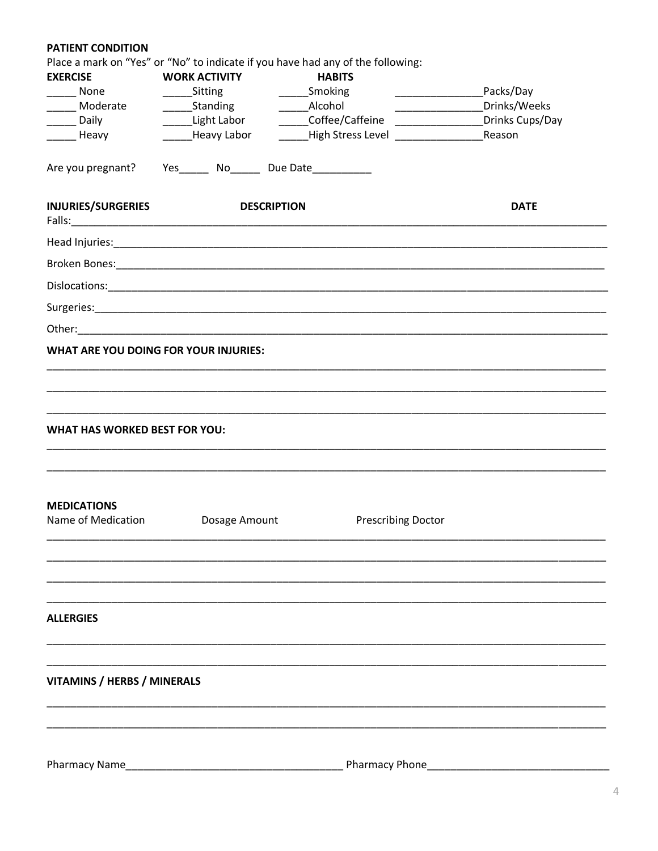## **PATIENT CONDITION**

|                                                           |                                                                                                               | Place a mark on "Yes" or "No" to indicate if you have had any of the following: |                 |
|-----------------------------------------------------------|---------------------------------------------------------------------------------------------------------------|---------------------------------------------------------------------------------|-----------------|
| <b>EXERCISE</b>                                           | <b>WORK ACTIVITY</b>                                                                                          | <b>HABITS</b>                                                                   |                 |
| $\frac{1}{2}$ None                                        | ______ Sitting                                                                                                | ______Smoking                                                                   | Packs/Day       |
| ______ Moderate                                           |                                                                                                               |                                                                                 | Drinks/Weeks    |
| ______ Daily                                              | ______Light Labor                                                                                             | ______Coffee/Caffeine ________________                                          | Drinks Cups/Day |
| ________ Heavy                                            | _______Heavy Labor                                                                                            | __High Stress Level _______________                                             | Reason          |
| Are you pregnant? Yes_______ No______ Due Date___________ |                                                                                                               |                                                                                 |                 |
| <b>INJURIES/SURGERIES</b>                                 | Falls: 2008 2010 2020 2020 2020 2020 2021 2022 2022 2021 2022 2022 2022 2022 2022 2022 2022 2022 2022 2022 20 | <b>DESCRIPTION</b>                                                              | <b>DATE</b>     |
|                                                           |                                                                                                               |                                                                                 |                 |
|                                                           |                                                                                                               |                                                                                 |                 |
|                                                           |                                                                                                               |                                                                                 |                 |
|                                                           |                                                                                                               |                                                                                 |                 |
|                                                           |                                                                                                               |                                                                                 |                 |
|                                                           | <b>WHAT ARE YOU DOING FOR YOUR INJURIES:</b>                                                                  |                                                                                 |                 |
|                                                           |                                                                                                               |                                                                                 |                 |
|                                                           |                                                                                                               |                                                                                 |                 |
|                                                           |                                                                                                               |                                                                                 |                 |
| <b>WHAT HAS WORKED BEST FOR YOU:</b>                      |                                                                                                               |                                                                                 |                 |
| <b>MEDICATIONS</b><br>Name of Medication                  | Dosage Amount                                                                                                 | <b>Prescribing Doctor</b>                                                       |                 |
|                                                           |                                                                                                               |                                                                                 |                 |
|                                                           |                                                                                                               |                                                                                 |                 |
| <b>ALLERGIES</b>                                          |                                                                                                               |                                                                                 |                 |
|                                                           |                                                                                                               |                                                                                 |                 |
| <b>VITAMINS / HERBS / MINERALS</b>                        |                                                                                                               |                                                                                 |                 |
|                                                           |                                                                                                               |                                                                                 |                 |
|                                                           |                                                                                                               |                                                                                 |                 |
| Pharmacy Name                                             |                                                                                                               | Pharmacy Phone                                                                  |                 |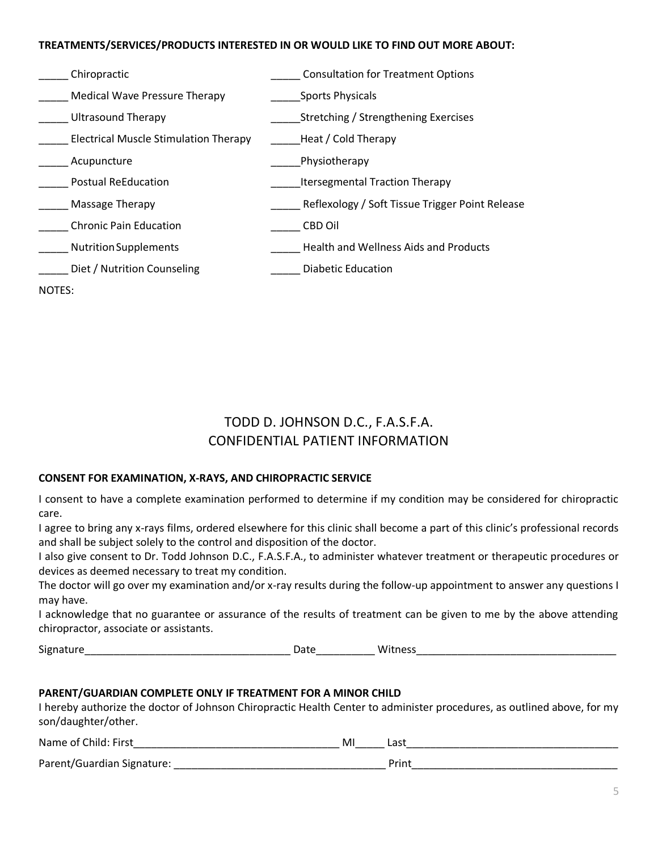#### **TREATMENTS/SERVICES/PRODUCTS INTERESTED IN OR WOULD LIKE TO FIND OUT MORE ABOUT:**

| Chiropractic                                 | <b>Consultation for Treatment Options</b>       |
|----------------------------------------------|-------------------------------------------------|
| <b>Medical Wave Pressure Therapy</b>         | <b>Sports Physicals</b>                         |
| <b>Ultrasound Therapy</b>                    | Stretching / Strengthening Exercises            |
| <b>Electrical Muscle Stimulation Therapy</b> | Heat / Cold Therapy                             |
| Acupuncture                                  | Physiotherapy                                   |
| <b>Postual ReEducation</b>                   | <b>Itersegmental Traction Therapy</b>           |
| Massage Therapy                              | Reflexology / Soft Tissue Trigger Point Release |
| <b>Chronic Pain Education</b>                | CBD Oil                                         |
| <b>Nutrition Supplements</b>                 | <b>Health and Wellness Aids and Products</b>    |
| Diet / Nutrition Counseling                  | <b>Diabetic Education</b>                       |
| NOTES:                                       |                                                 |

## TODD D. JOHNSON D.C., F.A.S.F.A. CONFIDENTIAL PATIENT INFORMATION

#### **CONSENT FOR EXAMINATION, X-RAYS, AND CHIROPRACTIC SERVICE**

I consent to have a complete examination performed to determine if my condition may be considered for chiropractic care.

I agree to bring any x-rays films, ordered elsewhere for this clinic shall become a part of this clinic's professional records and shall be subject solely to the control and disposition of the doctor.

I also give consent to Dr. Todd Johnson D.C., F.A.S.F.A., to administer whatever treatment or therapeutic procedures or devices as deemed necessary to treat my condition.

The doctor will go over my examination and/or x-ray results during the follow-up appointment to answer any questions I may have.

I acknowledge that no guarantee or assurance of the results of treatment can be given to me by the above attending chiropractor, associate or assistants.

Signature\_\_\_\_\_\_\_\_\_\_\_\_\_\_\_\_\_\_\_\_\_\_\_\_\_\_\_\_\_\_\_\_\_\_\_ Date\_\_\_\_\_\_\_\_\_\_ Witness\_\_\_\_\_\_\_\_\_\_\_\_\_\_\_\_\_\_\_\_\_\_\_\_\_\_\_\_\_\_\_\_\_\_

#### **PARENT/GUARDIAN COMPLETE ONLY IF TREATMENT FOR A MINOR CHILD**

I hereby authorize the doctor of Johnson Chiropractic Health Center to administer procedures, as outlined above, for my son/daughter/other.

| Name of Child: First       | MI | ാല്<br>Las   |
|----------------------------|----|--------------|
| Parent/Guardian Signature: |    | <b>Drint</b> |